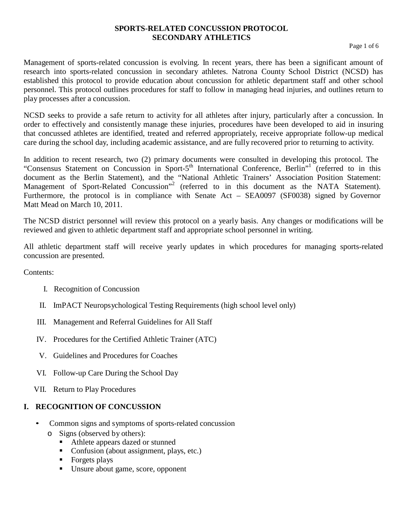#### **SPORTS-RELATED CONCUSSION PROTOCOL SECONDARY ATHLETICS**

Management of sports-related concussion is evolving. In recent years, there has been a significant amount of research into sports-related concussion in secondary athletes. Natrona County School District (NCSD) has established this protocol to provide education about concussion for athletic department staff and other school personnel. This protocol outlines procedures for staff to follow in managing head injuries, and outlines return to play processes after a concussion.

NCSD seeks to provide a safe return to activity for all athletes after injury, particularly after a concussion. In order to effectively and consistently manage these injuries, procedures have been developed to aid in insuring that concussed athletes are identified, treated and referred appropriately, receive appropriate follow-up medical care during the school day, including academic assistance, and are fully recovered prior to returning to activity.

In addition to recent research, two (2) primary documents were consulted in developing this protocol. The "Consensus Statement on Concussion in Sport-5<sup>th</sup> International Conference, Berlin<sup>"1</sup> (referred to in this document as the Berlin Statement), and the "National Athletic Trainers' Association Position Statement: Management of Sport-Related Concussion"<sup>2</sup> (referred to in this document as the NATA Statement). Furthermore, the protocol is in compliance with Senate Act – SEA0097 (SF0038) signed by Governor Matt Mead on March 10, 2011.

The NCSD district personnel will review this protocol on a yearly basis. Any changes or modifications will be reviewed and given to athletic department staff and appropriate school personnel in writing.

All athletic department staff will receive yearly updates in which procedures for managing sports-related concussion are presented.

Contents:

- I. Recognition of Concussion
- II. ImPACT Neuropsychological Testing Requirements (high school level only)
- III. Management and Referral Guidelines for All Staff
- IV. Procedures for the Certified Athletic Trainer (ATC)
- V. Guidelines and Procedures for Coaches
- VI. Follow-up Care During the School Day
- VII. Return to Play Procedures

## **I. RECOGNITION OF CONCUSSION**

- Common signs and symptoms of sports-related concussion
	- o Signs (observed by others):
		- Athlete appears dazed or stunned
		- Confusion (about assignment, plays, etc.)
		- $\blacksquare$  Forgets plays
		- Unsure about game, score, opponent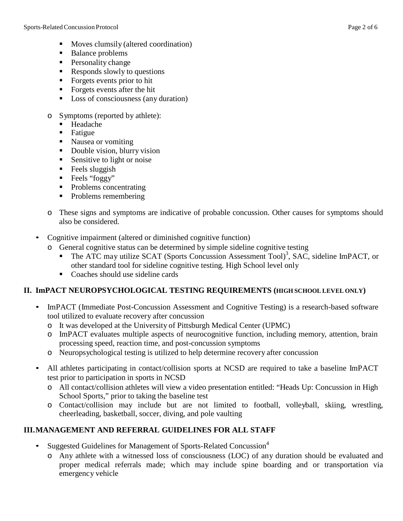- **Moves clumsily (altered coordination)**
- Balance problems
- **Personality change**
- Responds slowly to questions
- Forgets events prior to hit
- Forgets events after the hit
- Loss of consciousness (any duration)
- o Symptoms (reported by athlete):
	- Headache
	- **Fatigue**
	- Nausea or vomiting
	- Double vision, blurry vision
	- Sensitive to light or noise
	- $\blacksquare$  Feels sluggish
	- **Feels** "foggy"
	- Problems concentrating
	- Problems remembering
- o These signs and symptoms are indicative of probable concussion. Other causes for symptoms should also be considered.
- Cognitive impairment (altered or diminished cognitive function)
	- o General cognitive status can be determined by simple sideline cognitive testing
		- The ATC may utilize SCAT (Sports Concussion Assessment Tool)<sup>3</sup>, SAC, sideline ImPACT, or other standard tool for sideline cognitive testing. High School level only
		- Coaches should use sideline cards

## **II. ImPACT NEUROPSYCHOLOGICAL TESTING REQUIREMENTS (HIGH SCHOOL LEVEL ONLY)**

- ImPACT (Immediate Post-Concussion Assessment and Cognitive Testing) is a research-based software tool utilized to evaluate recovery after concussion
	- o It was developed at the University of Pittsburgh Medical Center (UPMC)
	- o ImPACT evaluates multiple aspects of neurocognitive function, including memory, attention, brain processing speed, reaction time, and post-concussion symptoms
	- o Neuropsychological testing is utilized to help determine recovery after concussion
- All athletes participating in contact/collision sports at NCSD are required to take a baseline ImPACT test prior to participation in sports in NCSD
	- o All contact/collision athletes will view a video presentation entitled: "Heads Up: Concussion in High School Sports," prior to taking the baseline test
	- o Contact/collision may include but are not limited to football, volleyball, skiing, wrestling, cheerleading, basketball, soccer, diving, and pole vaulting

## **III.MANAGEMENT AND REFERRAL GUIDELINES FOR ALL STAFF**

- Suggested Guidelines for Management of Sports-Related Concussion<sup>4</sup>
	- o Any athlete with a witnessed loss of consciousness (LOC) of any duration should be evaluated and proper medical referrals made; which may include spine boarding and or transportation via emergency vehicle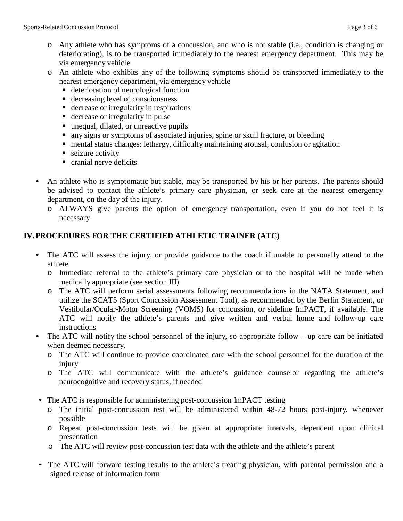- o Any athlete who has symptoms of a concussion, and who is not stable (i.e., condition is changing or deteriorating), is to be transported immediately to the nearest emergency department. This may be via emergency vehicle.
- o An athlete who exhibits any of the following symptoms should be transported immediately to the nearest emergency department, via emergency vehicle
	- deterioration of neurological function
	- decreasing level of consciousness
	- decrease or irregularity in respirations
	- decrease or irregularity in pulse
	- unequal, dilated, or unreactive pupils
	- any signs or symptoms of associated injuries, spine or skull fracture, or bleeding
	- mental status changes: lethargy, difficulty maintaining arousal, confusion or agitation
	- seizure activity
	- cranial nerve deficits
- An athlete who is symptomatic but stable, may be transported by his or her parents. The parents should be advised to contact the athlete's primary care physician, or seek care at the nearest emergency department, on the day of the injury.
	- o ALWAYS give parents the option of emergency transportation, even if you do not feel it is necessary

# **IV.PROCEDURES FOR THE CERTIFIED ATHLETIC TRAINER (ATC)**

- The ATC will assess the injury, or provide guidance to the coach if unable to personally attend to the athlete
	- o Immediate referral to the athlete's primary care physician or to the hospital will be made when medically appropriate (see section III)
	- o The ATC will perform serial assessments following recommendations in the NATA Statement, and utilize the SCAT5 (Sport Concussion Assessment Tool), as recommended by the Berlin Statement, or Vestibular/Ocular-Motor Screening (VOMS) for concussion, or sideline ImPACT, if available. The ATC will notify the athlete's parents and give written and verbal home and follow-up care instructions
- The ATC will notify the school personnel of the injury, so appropriate follow up care can be initiated when deemed necessary.
	- o The ATC will continue to provide coordinated care with the school personnel for the duration of the injury
	- o The ATC will communicate with the athlete's guidance counselor regarding the athlete's neurocognitive and recovery status, if needed
- The ATC is responsible for administering post-concussion ImPACT testing
	- o The initial post-concussion test will be administered within 48-72 hours post-injury, whenever possible
	- o Repeat post-concussion tests will be given at appropriate intervals, dependent upon clinical presentation
	- o The ATC will review post-concussion test data with the athlete and the athlete's parent
- The ATC will forward testing results to the athlete's treating physician, with parental permission and a signed release of information form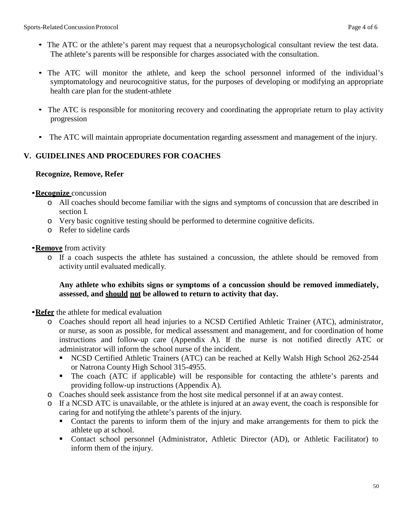- The ATC or the athlete's parent may request that a neuropsychological consultant review the test data. The athlete's parents will be responsible for charges associated with the consultation.
- The ATC will monitor the athlete, and keep the school personnel informed of the individual's symptomatology and neurocognitive status, for the purposes of developing or modifying an appropriate health care plan for the student-athlete
- The ATC is responsible for monitoring recovery and coordinating the appropriate return to play activity progression
- The ATC will maintain appropriate documentation regarding assessment and management of the injury.

## **V. GUIDELINES AND PROCEDURES FOR COACHES**

#### **Recognize, Remove, Refer**

#### •**Recognize** concussion

- o All coaches should become familiar with the signs and symptoms of concussion that are described in section I.
- o Very basic cognitive testing should be performed to determine cognitive deficits.
- o Refer to sideline cards

#### •**Remove** from activity

o If a coach suspects the athlete has sustained a concussion, the athlete should be removed from activity until evaluated medically.

#### **Any athlete who exhibits signs or symptoms of a concussion should be removed immediately, assessed, and should not be allowed to return to activity that day.**

#### •**Refer** the athlete for medical evaluation

- o Coaches should report all head injuries to a NCSD Certified Athletic Trainer (ATC), administrator, or nurse, as soon as possible, for medical assessment and management, and for coordination of home instructions and follow-up care (Appendix A). If the nurse is not notified directly ATC or administrator will inform the school nurse of the incident.
	- NCSD Certified Athletic Trainers (ATC) can be reached at Kelly Walsh High School 262-2544 or Natrona County High School 315-4955.
	- The coach (ATC if applicable) will be responsible for contacting the athlete's parents and providing follow-up instructions (Appendix A).
- o Coaches should seek assistance from the host site medical personnel if at an away contest.
- o If a NCSD ATC is unavailable, or the athlete is injured at an away event, the coach is responsible for caring for and notifying the athlete's parents of the injury.
	- Contact the parents to inform them of the injury and make arrangements for them to pick the athlete up at school.
	- Contact school personnel (Administrator, Athletic Director (AD), or Athletic Facilitator) to inform them of the injury.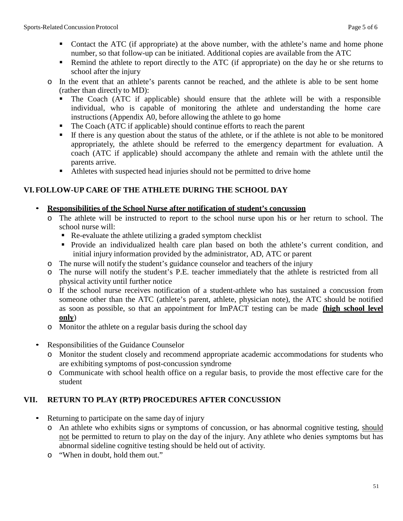- Contact the ATC (if appropriate) at the above number, with the athlete's name and home phone number, so that follow-up can be initiated. Additional copies are available from the ATC
- Remind the athlete to report directly to the ATC (if appropriate) on the day he or she returns to school after the injury
- o In the event that an athlete's parents cannot be reached, and the athlete is able to be sent home (rather than directly to MD):
	- The Coach (ATC if applicable) should ensure that the athlete will be with a responsible individual, who is capable of monitoring the athlete and understanding the home care instructions (Appendix A0, before allowing the athlete to go home
	- The Coach (ATC if applicable) should continue efforts to reach the parent
	- If there is any question about the status of the athlete, or if the athlete is not able to be monitored appropriately, the athlete should be referred to the emergency department for evaluation. A coach (ATC if applicable) should accompany the athlete and remain with the athlete until the parents arrive.
	- Athletes with suspected head injuries should not be permitted to drive home

## **VI.FOLLOW-UP CARE OF THE ATHLETE DURING THE SCHOOL DAY**

#### • **Responsibilities of the School Nurse after notification of student's concussion**

- o The athlete will be instructed to report to the school nurse upon his or her return to school. The school nurse will:
	- Re-evaluate the athlete utilizing a graded symptom checklist
	- Provide an individualized health care plan based on both the athlete's current condition, and initial injury information provided by the administrator, AD, ATC or parent
- o The nurse will notify the student's guidance counselor and teachers of the injury
- o The nurse will notify the student's P.E. teacher immediately that the athlete is restricted from all physical activity until further notice
- o If the school nurse receives notification of a student-athlete who has sustained a concussion from someone other than the ATC (athlete's parent, athlete, physician note), the ATC should be notified as soon as possible, so that an appointment for ImPACT testing can be made **(high school level only**)
- o Monitor the athlete on a regular basis during the school day
- Responsibilities of the Guidance Counselor
	- o Monitor the student closely and recommend appropriate academic accommodations for students who are exhibiting symptoms of post-concussion syndrome
	- o Communicate with school health office on a regular basis, to provide the most effective care for the student

## **VII. RETURN TO PLAY (RTP) PROCEDURES AFTER CONCUSSION**

- Returning to participate on the same day of injury
	- o An athlete who exhibits signs or symptoms of concussion, or has abnormal cognitive testing, should not be permitted to return to play on the day of the injury. Any athlete who denies symptoms but has abnormal sideline cognitive testing should be held out of activity.
	- o "When in doubt, hold them out."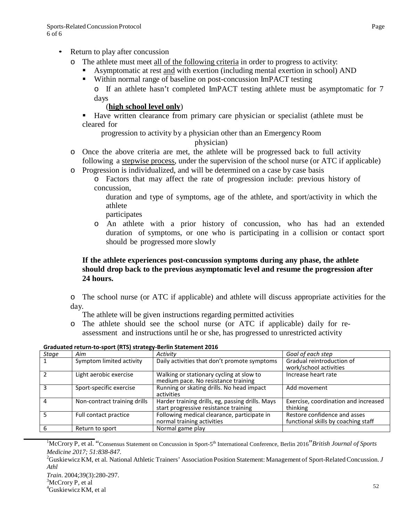- Return to play after concussion
	- o The athlete must meet all of the following criteria in order to progress to activity:
		- Asymptomatic at rest and with exertion (including mental exertion in school) AND
		- Within normal range of baseline on post-concussion ImPACT testing o If an athlete hasn't completed ImPACT testing athlete must be asymptomatic for 7 days

#### (**high school level only**)

 Have written clearance from primary care physician or specialist (athlete must be cleared for

progression to activity by a physician other than an Emergency Room

#### physician)

- o Once the above criteria are met, the athlete will be progressed back to full activity following a stepwise process, under the supervision of the school nurse (or ATC if applicable)
- o Progression is individualized, and will be determined on a case by case basis
	- o Factors that may affect the rate of progression include: previous history of concussion,
		- duration and type of symptoms, age of the athlete, and sport/activity in which the athlete
		- participates
	- o An athlete with a prior history of concussion, who has had an extended duration of symptoms, or one who is participating in a collision or contact sport should be progressed more slowly

#### **If the athlete experiences post-concussion symptoms during any phase, the athlete should drop back to the previous asymptomatic level and resume the progression after 24 hours.**

o The school nurse (or ATC if applicable) and athlete will discuss appropriate activities for the day.

The athlete will be given instructions regarding permitted activities

o The athlete should see the school nurse (or ATC if applicable) daily for reassessment and instructions until he or she, has progressed to unrestricted activity

| Stage | Aim                          | Activity                                                                                  | Goal of each step                                                   |
|-------|------------------------------|-------------------------------------------------------------------------------------------|---------------------------------------------------------------------|
|       | Symptom limited activity     | Daily activities that don't promote symptoms                                              | Gradual reintroduction of<br>work/school activities                 |
|       | Light aerobic exercise       | Walking or stationary cycling at slow to<br>medium pace. No resistance training           | Increase heart rate                                                 |
| ٦     | Sport-specific exercise      | Running or skating drills. No head impact<br>activities                                   | Add movement                                                        |
| 4     | Non-contract training drills | Harder training drills, eg, passing drills. Mays<br>start progressive resistance training | Exercise, coordination and increased<br>thinking                    |
| 5     | Full contact practice        | Following medical clearance, participate in<br>normal training activities                 | Restore confidence and asses<br>functional skills by coaching staff |
|       | Return to sport              | Normal game play                                                                          |                                                                     |

**Graduated return-to-sport (RTS) strategy-Berlin Statement 2016**

<sup>1</sup>McCrory P, et al. "Consensus Statement on Concussion in Sport-5<sup>th</sup> International Conference, Berlin 2016"*British Journal of Sports Medicine 2017; 51:838-847.* <sup>2</sup>

<sup>2</sup>Guskiewicz KM, et al. National Athletic Trainers' Association Position Statement: Management of Sport-Related Concussion. *J Athl*

*Train*. 2004;39(3):280-297. <sup>3</sup>

 ${}^{3}$ McCrory P, et al

Guskiewicz KM, et al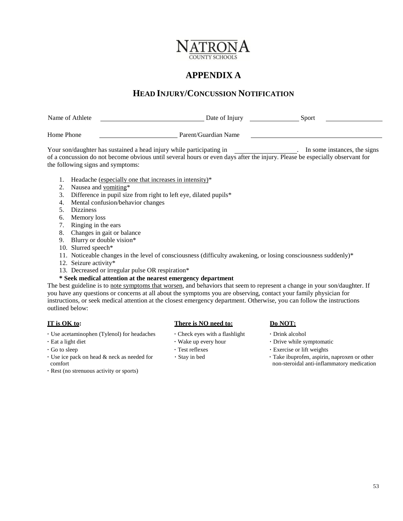

# **APPENDIX A**

## **HEAD INJURY/CONCUSSION NOTIFICATION**

| Name of Athlete | Date of Injury                                                                                                                                                                                | Sport                        |
|-----------------|-----------------------------------------------------------------------------------------------------------------------------------------------------------------------------------------------|------------------------------|
| Home Phone      | Parent/Guardian Name                                                                                                                                                                          |                              |
|                 | Your son/daughter has sustained a head injury while participating in<br>. Conservation de met became children mett ceremot beim an eine dem sfemete inime. Dieses bename leitete chamment fan | In some instances, the signs |

of a concussion do not become obvious until several hours or even days after the injury. Please be especially observant for the following signs and symptoms:

- 1. Headache (especially one that increases in intensity)\*
- 2. Nausea and vomiting\*
- 3. Difference in pupil size from right to left eye, dilated pupils\*
- 4. Mental confusion/behavior changes
- 5. Dizziness
- 6. Memory loss
- 7. Ringing in the ears
- 8. Changes in gait or balance
- 9. Blurry or double vision\*
- 10. Slurred speech\*
- 11. Noticeable changes in the level of consciousness (difficulty awakening, or losing consciousness suddenly)\*
- 12. Seizure activity\*
- 13. Decreased or irregular pulse OR respiration\*

#### **\* Seek medical attention at the nearest emergency department**

The best guideline is to note symptoms that worsen, and behaviors that seem to represent a change in your son/daughter. If you have any questions or concerns at all about the symptoms you are observing, contact your family physician for instructions, or seek medical attention at the closest emergency department. Otherwise, you can follow the instructions outlined below:

- **·** Use acetaminophen (Tylenol) for headaches **·** Check eyes with a flashlight **·** Drink alcohol
- 
- 
- **·** Use ice pack on head & neck as needed for comfort
- **·** Rest (no strenuous activity or sports)

#### **IT is OK to: There is NO need to: Do NOT: Do NOT:**

- 
- 
- 
- 

- 
- **·** Eat a light diet **·** Wake up every hour **·** Drive while symptomatic
- **·** Go to sleep **·** Test reflexes **·** Exercise or lift weights
	- **·** Stay in bed **·** Take ibuprofen, aspirin, naproxen or other non-steroidal anti-inflammatory medication